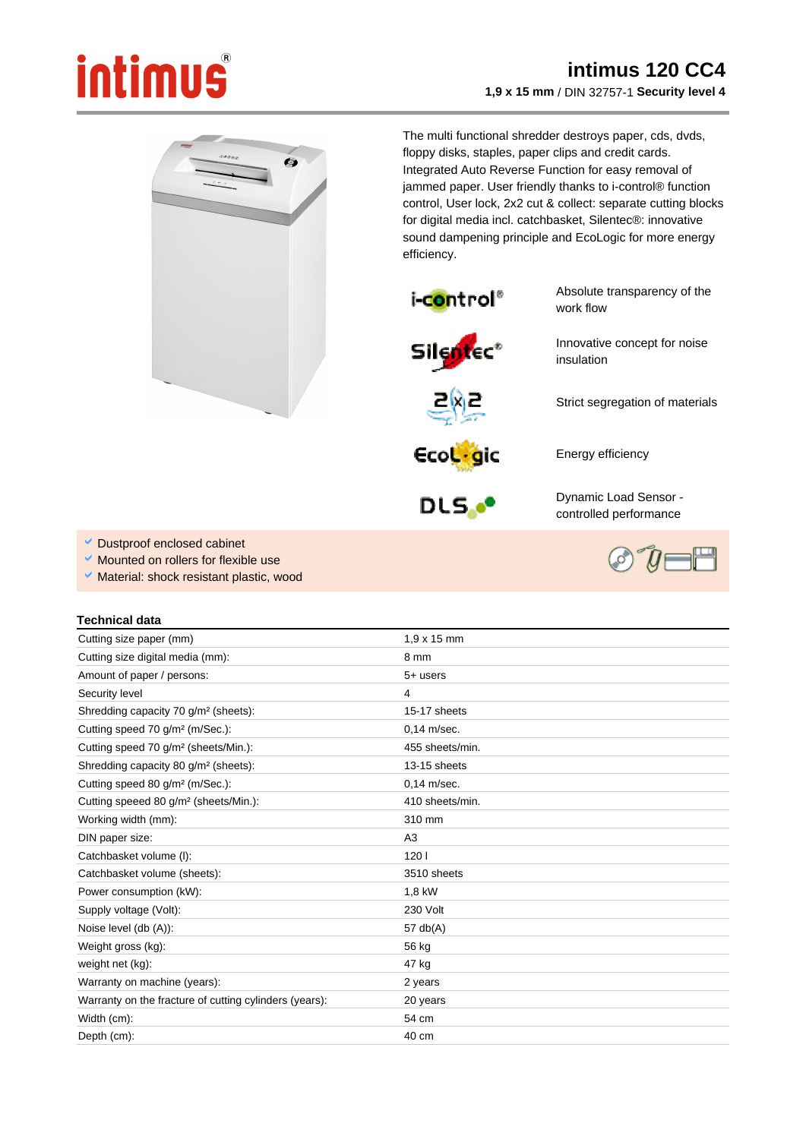## intimus

## **intimus 120 CC4 1,9 x 15 mm** / DIN 32757-1 **Security level 4**

 $\bullet$ 

The multi functional shredder destroys paper, cds, dvds, floppy disks, staples, paper clips and credit cards. Integrated Auto Reverse Function for easy removal of jammed paper. User friendly thanks to i-control® function control, User lock, 2x2 cut & collect: separate cutting blocks for digital media incl. catchbasket, Silentec®: innovative sound dampening principle and EcoLogic for more energy efficiency.



Absolute transparency of the work flow

Innovative concept for noise

Strict segregation of materials





Energy efficiency

insulation



Dynamic Load Sensor controlled performance

- Dustproof enclosed cabinet
- Mounted on rollers for flexible use
- Material: shock resistant plastic, wood

## **Technical data**

| Cutting size paper (mm)                                | $1.9 \times 15$ mm |
|--------------------------------------------------------|--------------------|
| Cutting size digital media (mm):                       | 8 mm               |
| Amount of paper / persons:                             | $5+$ users         |
| Security level                                         | 4                  |
| Shredding capacity 70 g/m <sup>2</sup> (sheets):       | 15-17 sheets       |
| Cutting speed 70 g/m <sup>2</sup> (m/Sec.):            | $0.14$ m/sec.      |
| Cutting speed 70 g/m <sup>2</sup> (sheets/Min.):       | 455 sheets/min.    |
| Shredding capacity 80 g/m <sup>2</sup> (sheets):       | 13-15 sheets       |
| Cutting speed 80 g/m <sup>2</sup> (m/Sec.):            | $0.14$ m/sec.      |
| Cutting speeed 80 g/m <sup>2</sup> (sheets/Min.):      | 410 sheets/min.    |
| Working width (mm):                                    | 310 mm             |
| DIN paper size:                                        | A3                 |
| Catchbasket volume (I):                                | 1201               |
| Catchbasket volume (sheets):                           | 3510 sheets        |
| Power consumption (kW):                                | 1,8 kW             |
| Supply voltage (Volt):                                 | 230 Volt           |
| Noise level (db (A)):                                  | 57 $db(A)$         |
| Weight gross (kg):                                     | 56 kg              |
| weight net (kg):                                       | 47 kg              |
| Warranty on machine (years):                           | 2 years            |
| Warranty on the fracture of cutting cylinders (years): | 20 years           |
| Width (cm):                                            | 54 cm              |
| Depth (cm):                                            | $40 \text{ cm}$    |